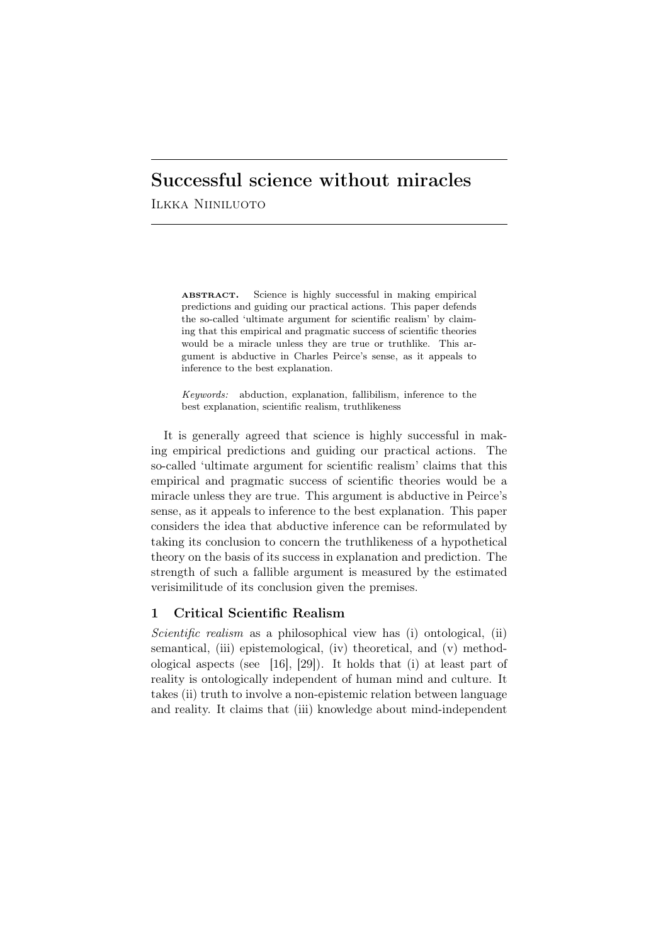# Successful science without miracles

Ilkka Niiniluoto

ABSTRACT. Science is highly successful in making empirical predictions and guiding our practical actions. This paper defends the so-called 'ultimate argument for scientific realism' by claiming that this empirical and pragmatic success of scientific theories would be a miracle unless they are true or truthlike. This argument is abductive in Charles Peirce's sense, as it appeals to inference to the best explanation.

*Keywords:* abduction, explanation, fallibilism, inference to the best explanation, scientific realism, truthlikeness

It is generally agreed that science is highly successful in making empirical predictions and guiding our practical actions. The so-called 'ultimate argument for scientific realism' claims that this empirical and pragmatic success of scientific theories would be a miracle unless they are true. This argument is abductive in Peirce's sense, as it appeals to inference to the best explanation. This paper considers the idea that abductive inference can be reformulated by taking its conclusion to concern the truthlikeness of a hypothetical theory on the basis of its success in explanation and prediction. The strength of such a fallible argument is measured by the estimated verisimilitude of its conclusion given the premises.

## 1 Critical Scientific Realism

*Scientific realism* as a philosophical view has (i) ontological, (ii) semantical, (iii) epistemological, (iv) theoretical, and (v) methodological aspects (see [16], [29]). It holds that (i) at least part of reality is ontologically independent of human mind and culture. It takes (ii) truth to involve a non-epistemic relation between language and reality. It claims that (iii) knowledge about mind-independent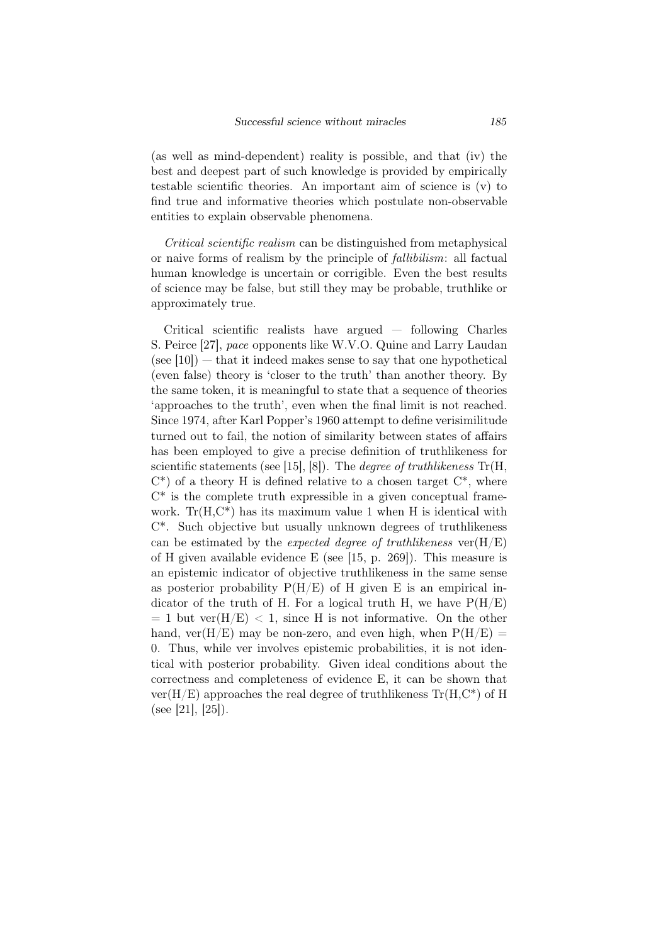(as well as mind-dependent) reality is possible, and that (iv) the best and deepest part of such knowledge is provided by empirically testable scientific theories. An important aim of science is (v) to find true and informative theories which postulate non-observable entities to explain observable phenomena.

*Critical scientific realism* can be distinguished from metaphysical or naive forms of realism by the principle of *fallibilism*: all factual human knowledge is uncertain or corrigible. Even the best results of science may be false, but still they may be probable, truthlike or approximately true.

Critical scientific realists have argued — following Charles S. Peirce [27], *pace* opponents like W.V.O. Quine and Larry Laudan  $(\text{see } [10])$  — that it indeed makes sense to say that one hypothetical (even false) theory is 'closer to the truth' than another theory. By the same token, it is meaningful to state that a sequence of theories 'approaches to the truth', even when the final limit is not reached. Since 1974, after Karl Popper's 1960 attempt to define verisimilitude turned out to fail, the notion of similarity between states of affairs has been employed to give a precise definition of truthlikeness for scientific statements (see [15], [8]). The *degree of truthlikeness* Tr(H,  $C^*$ ) of a theory H is defined relative to a chosen target  $C^*$ , where  $C^*$  is the complete truth expressible in a given conceptual framework.  $Tr(H, C^*)$  has its maximum value 1 when H is identical with C\*. Such objective but usually unknown degrees of truthlikeness can be estimated by the *expected degree of truthlikeness* ver(H/E) of H given available evidence E (see [15, p. 269]). This measure is an epistemic indicator of objective truthlikeness in the same sense as posterior probability  $P(H/E)$  of H given E is an empirical indicator of the truth of H. For a logical truth H, we have  $P(H/E)$  $= 1$  but ver $(H/E) < 1$ , since H is not informative. On the other hand, ver $(H/E)$  may be non-zero, and even high, when  $P(H/E)$  = 0. Thus, while ver involves epistemic probabilities, it is not identical with posterior probability. Given ideal conditions about the correctness and completeness of evidence E, it can be shown that  $ver(H/E)$  approaches the real degree of truthlikeness  $Tr(H,C^*)$  of H (see [21], [25]).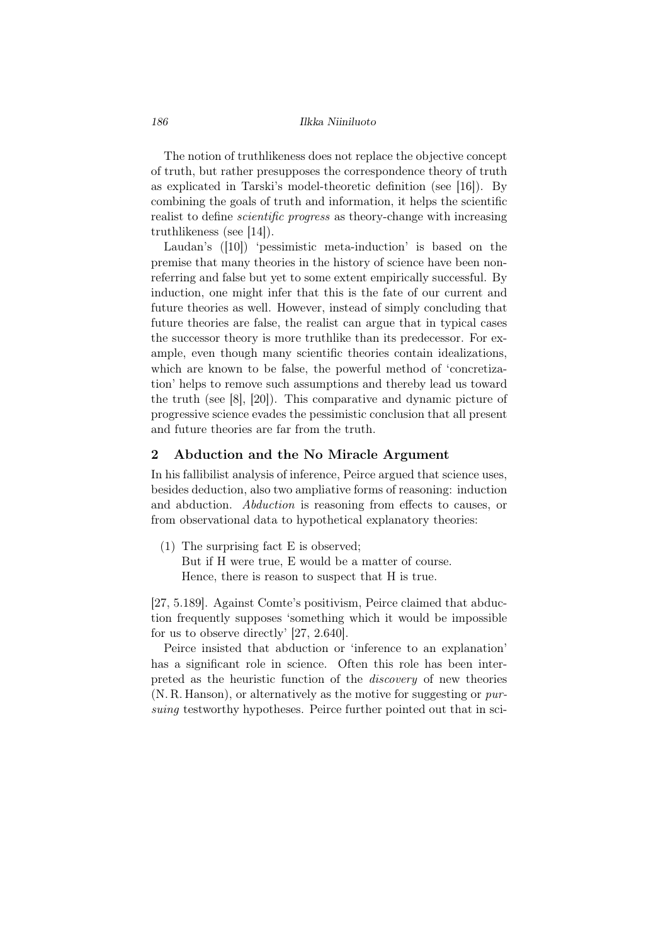The notion of truthlikeness does not replace the objective concept of truth, but rather presupposes the correspondence theory of truth as explicated in Tarski's model-theoretic definition (see [16]). By combining the goals of truth and information, it helps the scientific realist to define *scientific progress* as theory-change with increasing truthlikeness (see [14]).

Laudan's (10) 'pessimistic meta-induction' is based on the premise that many theories in the history of science have been nonreferring and false but yet to some extent empirically successful. By induction, one might infer that this is the fate of our current and future theories as well. However, instead of simply concluding that future theories are false, the realist can argue that in typical cases the successor theory is more truthlike than its predecessor. For example, even though many scientific theories contain idealizations, which are known to be false, the powerful method of 'concretization' helps to remove such assumptions and thereby lead us toward the truth (see [8], [20]). This comparative and dynamic picture of progressive science evades the pessimistic conclusion that all present and future theories are far from the truth.

## 2 Abduction and the No Miracle Argument

In his fallibilist analysis of inference, Peirce argued that science uses, besides deduction, also two ampliative forms of reasoning: induction and abduction. *Abduction* is reasoning from effects to causes, or from observational data to hypothetical explanatory theories:

(1) The surprising fact E is observed; But if H were true, E would be a matter of course. Hence, there is reason to suspect that H is true.

[27, 5.189]. Against Comte's positivism, Peirce claimed that abduction frequently supposes 'something which it would be impossible for us to observe directly' [27, 2.640].

Peirce insisted that abduction or 'inference to an explanation' has a significant role in science. Often this role has been interpreted as the heuristic function of the *discovery* of new theories (N. R. Hanson), or alternatively as the motive for suggesting or *pursuing* testworthy hypotheses. Peirce further pointed out that in sci-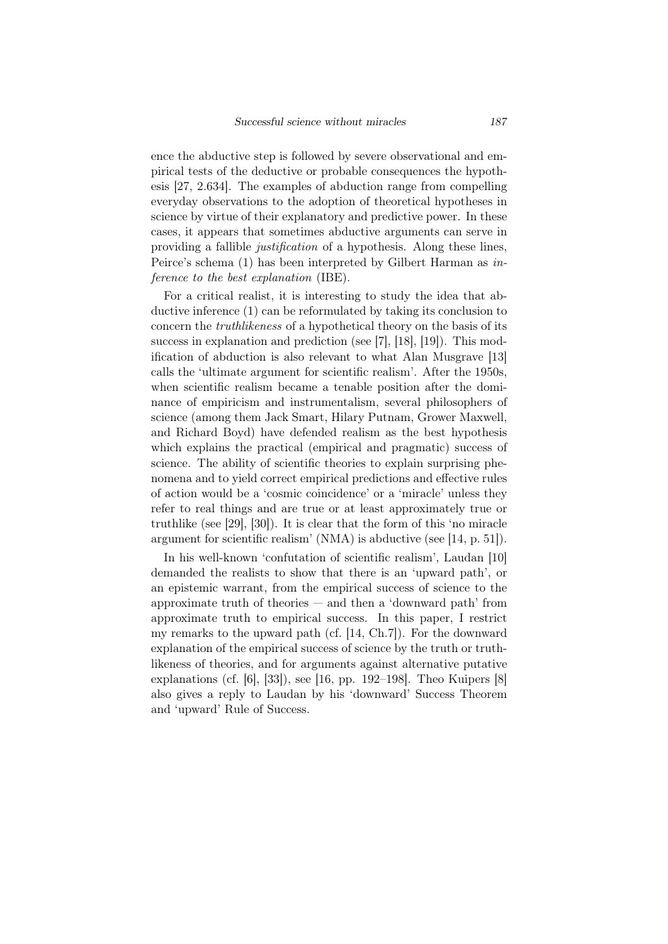ence the abductive step is followed by severe observational and empirical tests of the deductive or probable consequences the hypothesis [27, 2.634]. The examples of abduction range from compelling everyday observations to the adoption of theoretical hypotheses in science by virtue of their explanatory and predictive power. In these cases, it appears that sometimes abductive arguments can serve in providing a fallible *justification* of a hypothesis. Along these lines, Peirce's schema (1) has been interpreted by Gilbert Harman as *inference to the best explanation* (IBE).

For a critical realist, it is interesting to study the idea that abductive inference (1) can be reformulated by taking its conclusion to concern the *truthlikeness* of a hypothetical theory on the basis of its success in explanation and prediction (see [7], [18], [19]). This modification of abduction is also relevant to what Alan Musgrave [13] calls the 'ultimate argument for scientific realism'. After the 1950s, when scientific realism became a tenable position after the dominance of empiricism and instrumentalism, several philosophers of science (among them Jack Smart, Hilary Putnam, Grower Maxwell, and Richard Boyd) have defended realism as the best hypothesis which explains the practical (empirical and pragmatic) success of science. The ability of scientific theories to explain surprising phenomena and to yield correct empirical predictions and effective rules of action would be a 'cosmic coincidence' or a 'miracle' unless they refer to real things and are true or at least approximately true or truthlike (see [29], [30]). It is clear that the form of this 'no miracle argument for scientific realism' (NMA) is abductive (see [14, p. 51]).

In his well-known 'confutation of scientific realism', Laudan [10] demanded the realists to show that there is an 'upward path', or an epistemic warrant, from the empirical success of science to the approximate truth of theories — and then a 'downward path' from approximate truth to empirical success. In this paper, I restrict my remarks to the upward path (cf. [14, Ch.7]). For the downward explanation of the empirical success of science by the truth or truthlikeness of theories, and for arguments against alternative putative explanations (cf. [6], [33]), see [16, pp. 192–198]. Theo Kuipers [8] also gives a reply to Laudan by his 'downward' Success Theorem and 'upward' Rule of Success.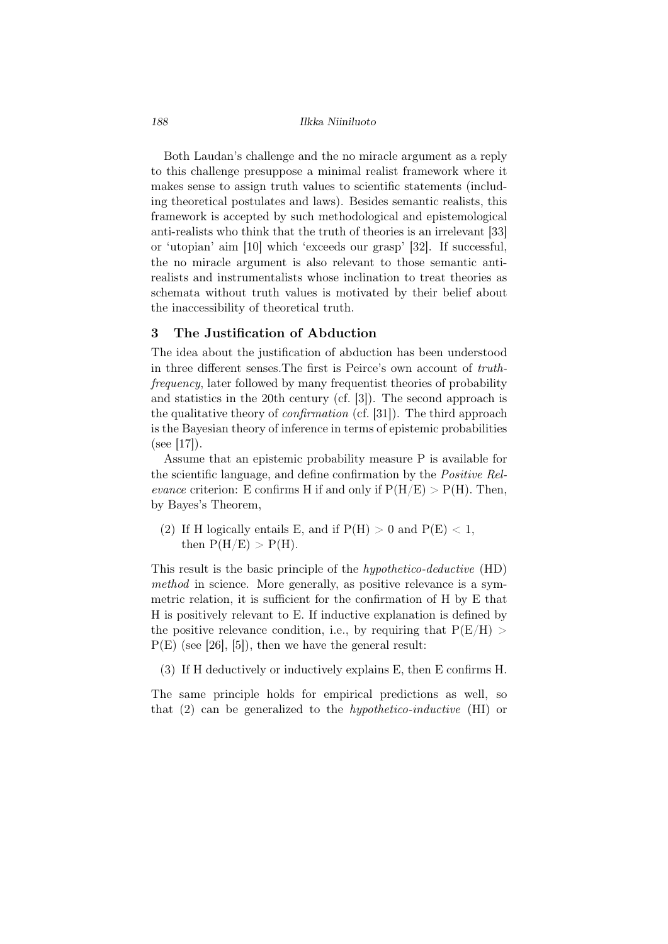Both Laudan's challenge and the no miracle argument as a reply to this challenge presuppose a minimal realist framework where it makes sense to assign truth values to scientific statements (including theoretical postulates and laws). Besides semantic realists, this framework is accepted by such methodological and epistemological anti-realists who think that the truth of theories is an irrelevant [33] or 'utopian' aim [10] which 'exceeds our grasp' [32]. If successful, the no miracle argument is also relevant to those semantic antirealists and instrumentalists whose inclination to treat theories as schemata without truth values is motivated by their belief about the inaccessibility of theoretical truth.

## 3 The Justification of Abduction

The idea about the justification of abduction has been understood in three different senses.The first is Peirce's own account of *truthfrequency*, later followed by many frequentist theories of probability and statistics in the 20th century (cf. [3]). The second approach is the qualitative theory of *confirmation* (cf. [31]). The third approach is the Bayesian theory of inference in terms of epistemic probabilities  $(see |17|).$ 

Assume that an epistemic probability measure P is available for the scientific language, and define confirmation by the *Positive Relevance* criterion: E confirms H if and only if  $P(H/E) > P(H)$ . Then, by Bayes's Theorem,

(2) If H logically entails E, and if  $P(H) > 0$  and  $P(E) < 1$ , then  $P(H/E) > P(H)$ .

This result is the basic principle of the *hypothetico-deductive* (HD) *method* in science. More generally, as positive relevance is a symmetric relation, it is sufficient for the confirmation of H by E that H is positively relevant to E. If inductive explanation is defined by the positive relevance condition, i.e., by requiring that  $P(E/H)$  $P(E)$  (see [26], [5]), then we have the general result:

(3) If H deductively or inductively explains E, then E confirms H.

The same principle holds for empirical predictions as well, so that (2) can be generalized to the *hypothetico-inductive* (HI) or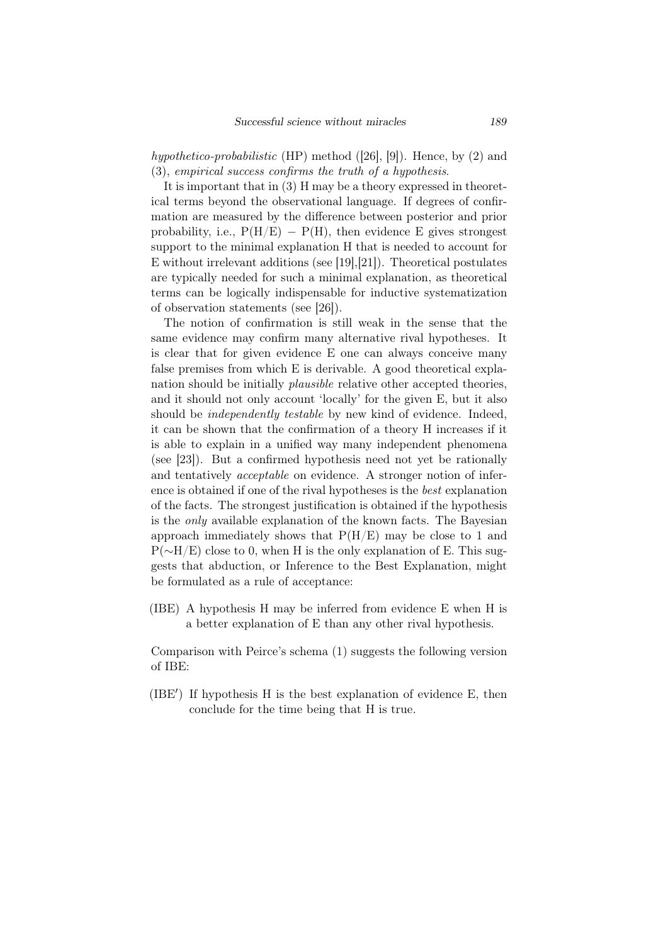*hypothetico-probabilistic* (HP) method ([26], [9]). Hence, by (2) and (3), *empirical success confirms the truth of a hypothesis*.

It is important that in (3) H may be a theory expressed in theoretical terms beyond the observational language. If degrees of confirmation are measured by the difference between posterior and prior probability, i.e.,  $P(H/E) - P(H)$ , then evidence E gives strongest support to the minimal explanation H that is needed to account for E without irrelevant additions (see [19],[21]). Theoretical postulates are typically needed for such a minimal explanation, as theoretical terms can be logically indispensable for inductive systematization of observation statements (see [26]).

The notion of confirmation is still weak in the sense that the same evidence may confirm many alternative rival hypotheses. It is clear that for given evidence E one can always conceive many false premises from which E is derivable. A good theoretical explanation should be initially *plausible* relative other accepted theories, and it should not only account 'locally' for the given E, but it also should be *independently testable* by new kind of evidence. Indeed, it can be shown that the confirmation of a theory H increases if it is able to explain in a unified way many independent phenomena (see [23]). But a confirmed hypothesis need not yet be rationally and tentatively *acceptable* on evidence. A stronger notion of inference is obtained if one of the rival hypotheses is the *best* explanation of the facts. The strongest justification is obtained if the hypothesis is the *only* available explanation of the known facts. The Bayesian approach immediately shows that  $P(H/E)$  may be close to 1 and P( $~\sim$ H/E) close to 0, when H is the only explanation of E. This suggests that abduction, or Inference to the Best Explanation, might be formulated as a rule of acceptance:

(IBE) A hypothesis H may be inferred from evidence E when H is a better explanation of E than any other rival hypothesis.

Comparison with Peirce's schema (1) suggests the following version of IBE:

(IBE*′* ) If hypothesis H is the best explanation of evidence E, then conclude for the time being that H is true.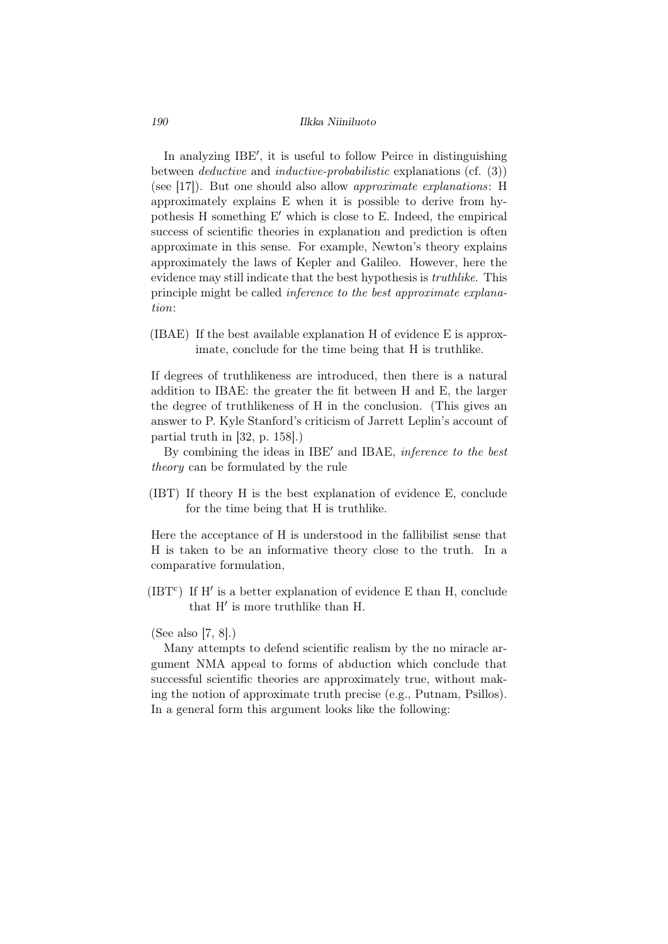In analyzing IBE*′* , it is useful to follow Peirce in distinguishing between *deductive* and *inductive-probabilistic* explanations (cf. (3)) (see [17]). But one should also allow *approximate explanations*: H approximately explains E when it is possible to derive from hypothesis H something E*′* which is close to E. Indeed, the empirical success of scientific theories in explanation and prediction is often approximate in this sense. For example, Newton's theory explains approximately the laws of Kepler and Galileo. However, here the evidence may still indicate that the best hypothesis is *truthlike*. This principle might be called *inference to the best approximate explanation*:

(IBAE) If the best available explanation H of evidence E is approximate, conclude for the time being that H is truthlike.

If degrees of truthlikeness are introduced, then there is a natural addition to IBAE: the greater the fit between H and E, the larger the degree of truthlikeness of H in the conclusion. (This gives an answer to P. Kyle Stanford's criticism of Jarrett Leplin's account of partial truth in [32, p. 158].)

By combining the ideas in IBE*′* and IBAE, *inference to the best theory* can be formulated by the rule

(IBT) If theory H is the best explanation of evidence E, conclude for the time being that H is truthlike.

Here the acceptance of H is understood in the fallibilist sense that H is taken to be an informative theory close to the truth. In a comparative formulation,

(IBT<sup>c</sup>) If H' is a better explanation of evidence E than H, conclude that H*′* is more truthlike than H.

## (See also [7, 8].)

Many attempts to defend scientific realism by the no miracle argument NMA appeal to forms of abduction which conclude that successful scientific theories are approximately true, without making the notion of approximate truth precise (e.g., Putnam, Psillos). In a general form this argument looks like the following: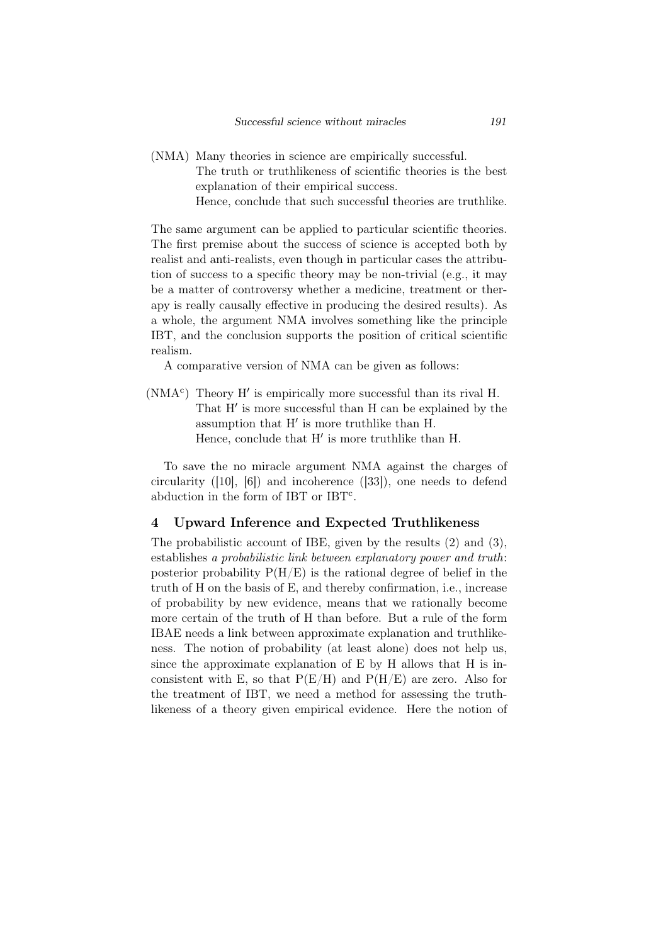(NMA) Many theories in science are empirically successful. The truth or truthlikeness of scientific theories is the best explanation of their empirical success. Hence, conclude that such successful theories are truthlike.

The same argument can be applied to particular scientific theories. The first premise about the success of science is accepted both by realist and anti-realists, even though in particular cases the attribution of success to a specific theory may be non-trivial (e.g., it may be a matter of controversy whether a medicine, treatment or therapy is really causally effective in producing the desired results). As a whole, the argument NMA involves something like the principle IBT, and the conclusion supports the position of critical scientific realism.

A comparative version of NMA can be given as follows:

(NMA<sup>c</sup> ) Theory H*′* is empirically more successful than its rival H. That H*′* is more successful than H can be explained by the assumption that H*′* is more truthlike than H. Hence, conclude that H*′* is more truthlike than H.

To save the no miracle argument NMA against the charges of circularity ([10], [6]) and incoherence ([33]), one needs to defend abduction in the form of IBT or IBT<sup>c</sup>.

## 4 Upward Inference and Expected Truthlikeness

The probabilistic account of IBE, given by the results (2) and (3), establishes *a probabilistic link between explanatory power and truth*: posterior probability  $P(H/E)$  is the rational degree of belief in the truth of H on the basis of E, and thereby confirmation, i.e., increase of probability by new evidence, means that we rationally become more certain of the truth of H than before. But a rule of the form IBAE needs a link between approximate explanation and truthlikeness. The notion of probability (at least alone) does not help us, since the approximate explanation of E by H allows that H is inconsistent with E, so that  $P(E/H)$  and  $P(H/E)$  are zero. Also for the treatment of IBT, we need a method for assessing the truthlikeness of a theory given empirical evidence. Here the notion of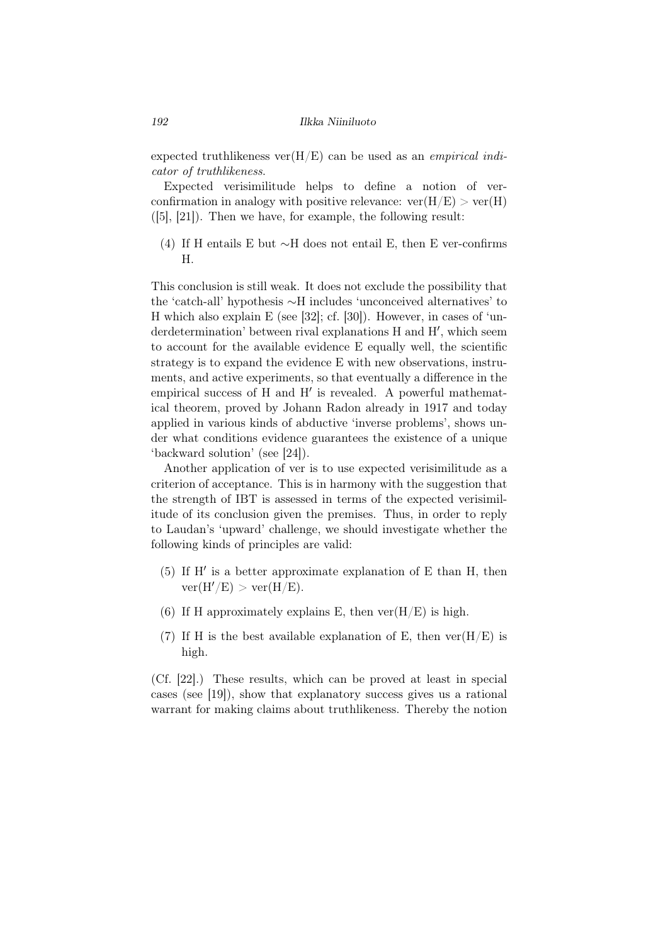expected truthlikeness ver(H/E) can be used as an *empirical indicator of truthlikeness*.

Expected verisimilitude helps to define a notion of verconfirmation in analogy with positive relevance:  $ver(H/E) > ver(H)$  $([5], [21])$ . Then we have, for example, the following result:

(4) If H entails E but *∼*H does not entail E, then E ver-confirms H.

This conclusion is still weak. It does not exclude the possibility that the 'catch-all' hypothesis *∼*H includes 'unconceived alternatives' to H which also explain E (see [32]; cf. [30]). However, in cases of 'underdetermination' between rival explanations H and H*′* , which seem to account for the available evidence E equally well, the scientific strategy is to expand the evidence E with new observations, instruments, and active experiments, so that eventually a difference in the empirical success of H and H*′* is revealed. A powerful mathematical theorem, proved by Johann Radon already in 1917 and today applied in various kinds of abductive 'inverse problems', shows under what conditions evidence guarantees the existence of a unique 'backward solution' (see [24]).

Another application of ver is to use expected verisimilitude as a criterion of acceptance. This is in harmony with the suggestion that the strength of IBT is assessed in terms of the expected verisimilitude of its conclusion given the premises. Thus, in order to reply to Laudan's 'upward' challenge, we should investigate whether the following kinds of principles are valid:

- (5) If H*′* is a better approximate explanation of E than H, then  $ver(H'/E) > ver(H/E).$
- (6) If H approximately explains E, then  $ver(H/E)$  is high.
- (7) If H is the best available explanation of E, then  $ver(H/E)$  is high.

(Cf. [22].) These results, which can be proved at least in special cases (see [19]), show that explanatory success gives us a rational warrant for making claims about truthlikeness. Thereby the notion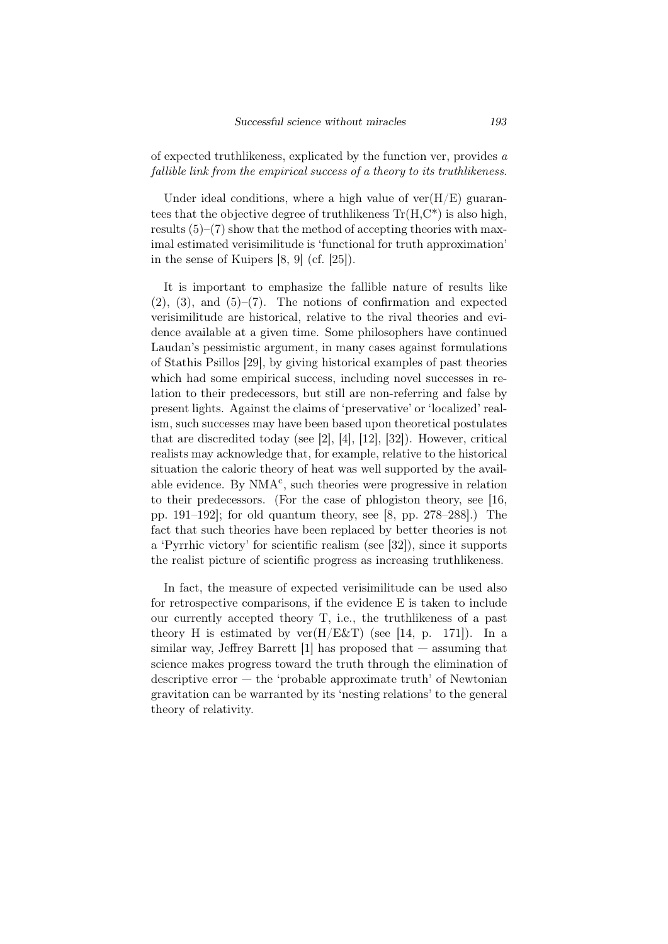of expected truthlikeness, explicated by the function ver, provides *a fallible link from the empirical success of a theory to its truthlikeness*.

Under ideal conditions, where a high value of  $ver(H/E)$  guarantees that the objective degree of truthlikeness  $Tr(H, C^*)$  is also high, results  $(5)$ – $(7)$  show that the method of accepting theories with maximal estimated verisimilitude is 'functional for truth approximation' in the sense of Kuipers [8, 9] (cf. [25]).

It is important to emphasize the fallible nature of results like  $(2)$ ,  $(3)$ , and  $(5)-(7)$ . The notions of confirmation and expected verisimilitude are historical, relative to the rival theories and evidence available at a given time. Some philosophers have continued Laudan's pessimistic argument, in many cases against formulations of Stathis Psillos [29], by giving historical examples of past theories which had some empirical success, including novel successes in relation to their predecessors, but still are non-referring and false by present lights. Against the claims of 'preservative' or 'localized' realism, such successes may have been based upon theoretical postulates that are discredited today (see [2], [4], [12], [32]). However, critical realists may acknowledge that, for example, relative to the historical situation the caloric theory of heat was well supported by the available evidence. By  $NMA<sup>c</sup>$ , such theories were progressive in relation to their predecessors. (For the case of phlogiston theory, see [16, pp. 191–192]; for old quantum theory, see [8, pp. 278–288].) The fact that such theories have been replaced by better theories is not a 'Pyrrhic victory' for scientific realism (see [32]), since it supports the realist picture of scientific progress as increasing truthlikeness.

In fact, the measure of expected verisimilitude can be used also for retrospective comparisons, if the evidence E is taken to include our currently accepted theory T, i.e., the truthlikeness of a past theory H is estimated by  $ver(H/ExT)$  (see [14, p. 171]). In a similar way, Jeffrey Barrett  $[1]$  has proposed that  $-$  assuming that science makes progress toward the truth through the elimination of descriptive error  $-$  the 'probable approximate truth' of Newtonian gravitation can be warranted by its 'nesting relations' to the general theory of relativity.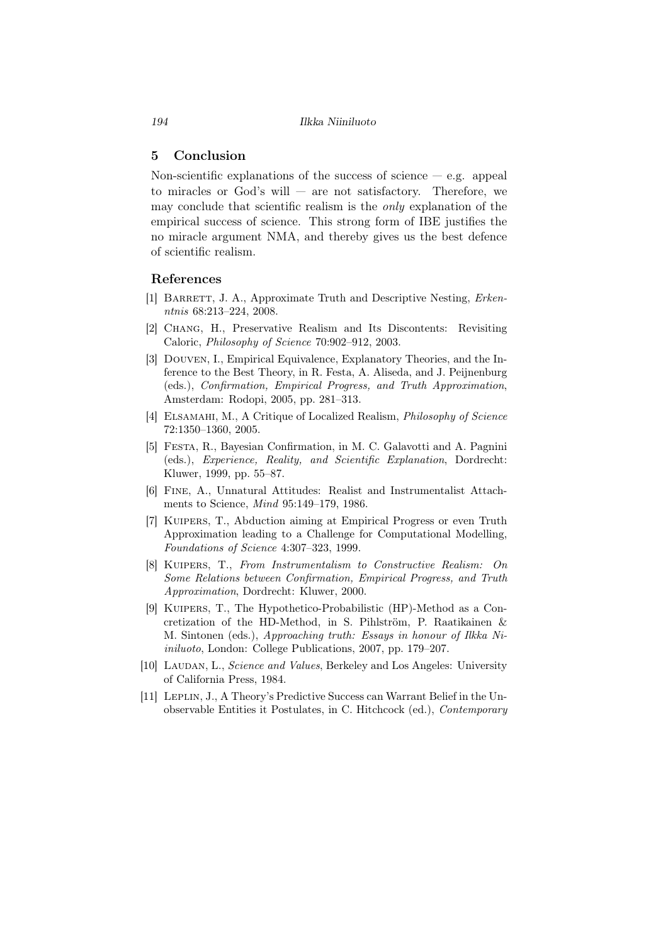# 5 Conclusion

Non-scientific explanations of the success of science  $-$  e.g. appeal to miracles or God's will — are not satisfactory. Therefore, we may conclude that scientific realism is the *only* explanation of the empirical success of science. This strong form of IBE justifies the no miracle argument NMA, and thereby gives us the best defence of scientific realism.

#### References

- [1] BARRETT, J. A., Approximate Truth and Descriptive Nesting, *Erkenntnis* 68:213–224, 2008.
- [2] Chang, H., Preservative Realism and Its Discontents: Revisiting Caloric, *Philosophy of Science* 70:902–912, 2003.
- [3] Douven, I., Empirical Equivalence, Explanatory Theories, and the Inference to the Best Theory, in R. Festa, A. Aliseda, and J. Peijnenburg (eds.), *Confirmation, Empirical Progress, and Truth Approximation*, Amsterdam: Rodopi, 2005, pp. 281–313.
- [4] Elsamahi, M., A Critique of Localized Realism, *Philosophy of Science* 72:1350–1360, 2005.
- [5] Festa, R., Bayesian Confirmation, in M. C. Galavotti and A. Pagnini (eds.), *Experience, Reality, and Scientific Explanation*, Dordrecht: Kluwer, 1999, pp. 55–87.
- [6] Fine, A., Unnatural Attitudes: Realist and Instrumentalist Attachments to Science, *Mind* 95:149–179, 1986.
- [7] Kuipers, T., Abduction aiming at Empirical Progress or even Truth Approximation leading to a Challenge for Computational Modelling, *Foundations of Science* 4:307–323, 1999.
- [8] Kuipers, T., *From Instrumentalism to Constructive Realism: On Some Relations between Confirmation, Empirical Progress, and Truth Approximation*, Dordrecht: Kluwer, 2000.
- [9] Kuipers, T., The Hypothetico-Probabilistic (HP)-Method as a Concretization of the HD-Method, in S. Pihlström, P. Raatikainen  $\&$ M. Sintonen (eds.), *Approaching truth: Essays in honour of Ilkka Niiniluoto*, London: College Publications, 2007, pp. 179–207.
- [10] LAUDAN, L., *Science and Values*, Berkeley and Los Angeles: University of California Press, 1984.
- [11] LEPLIN, J., A Theory's Predictive Success can Warrant Belief in the Unobservable Entities it Postulates, in C. Hitchcock (ed.), *Contemporary*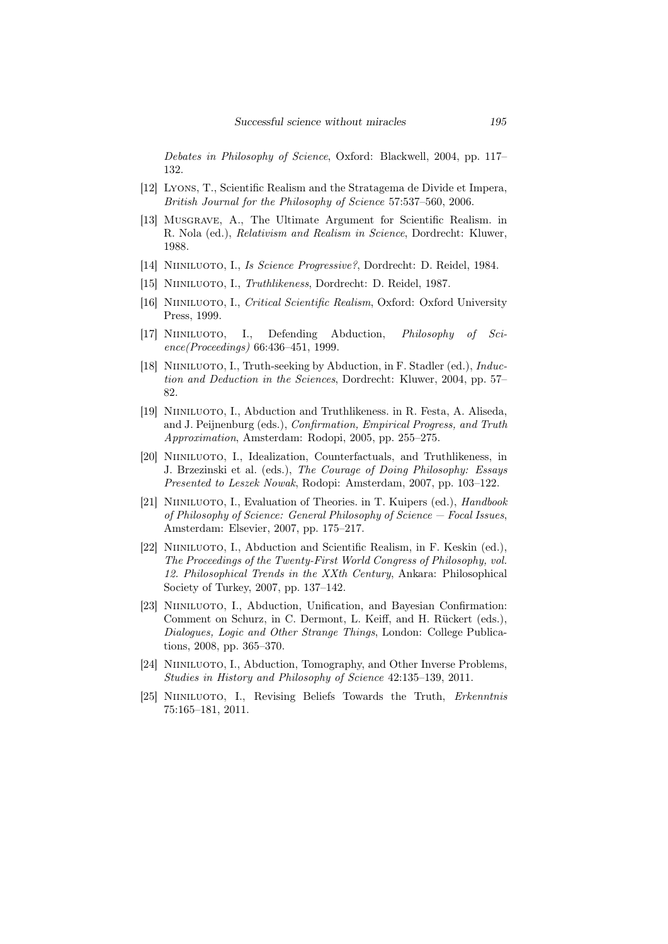*Debates in Philosophy of Science*, Oxford: Blackwell, 2004, pp. 117– 132.

- [12] Lyons, T., Scientific Realism and the Stratagema de Divide et Impera, *British Journal for the Philosophy of Science* 57:537–560, 2006.
- [13] Musgrave, A., The Ultimate Argument for Scientific Realism. in R. Nola (ed.), *Relativism and Realism in Science*, Dordrecht: Kluwer, 1988.
- [14] Niiniluoto, I., *Is Science Progressive?*, Dordrecht: D. Reidel, 1984.
- [15] Niiniluoto, I., *Truthlikeness*, Dordrecht: D. Reidel, 1987.
- [16] Niiniluoto, I., *Critical Scientific Realism*, Oxford: Oxford University Press, 1999.
- [17] NIINILUOTO, I., Defending Abduction, *Philosophy of Science(Proceedings)* 66:436–451, 1999.
- [18] NIINILUOTO, I., Truth-seeking by Abduction, in F. Stadler (ed.), *Induction and Deduction in the Sciences*, Dordrecht: Kluwer, 2004, pp. 57– 82.
- [19] Niiniluoto, I., Abduction and Truthlikeness. in R. Festa, A. Aliseda, and J. Peijnenburg (eds.), *Confirmation, Empirical Progress, and Truth Approximation*, Amsterdam: Rodopi, 2005, pp. 255–275.
- [20] Niiniluoto, I., Idealization, Counterfactuals, and Truthlikeness, in J. Brzezinski et al. (eds.), *The Courage of Doing Philosophy: Essays Presented to Leszek Nowak*, Rodopi: Amsterdam, 2007, pp. 103–122.
- [21] Niiniluoto, I., Evaluation of Theories. in T. Kuipers (ed.), *Handbook of Philosophy of Science: General Philosophy of Science — Focal Issues*, Amsterdam: Elsevier, 2007, pp. 175–217.
- [22] Niiniluoto, I., Abduction and Scientific Realism, in F. Keskin (ed.), *The Proceedings of the Twenty-First World Congress of Philosophy, vol. 12. Philosophical Trends in the XXth Century*, Ankara: Philosophical Society of Turkey, 2007, pp. 137–142.
- [23] NIINILUOTO, I., Abduction, Unification, and Bayesian Confirmation: Comment on Schurz, in C. Dermont, L. Keiff, and H. Rückert (eds.), *Dialogues, Logic and Other Strange Things*, London: College Publications, 2008, pp. 365–370.
- [24] NIINILUOTO, I., Abduction, Tomography, and Other Inverse Problems, *Studies in History and Philosophy of Science* 42:135–139, 2011.
- [25] Niiniluoto, I., Revising Beliefs Towards the Truth, *Erkenntnis* 75:165–181, 2011.